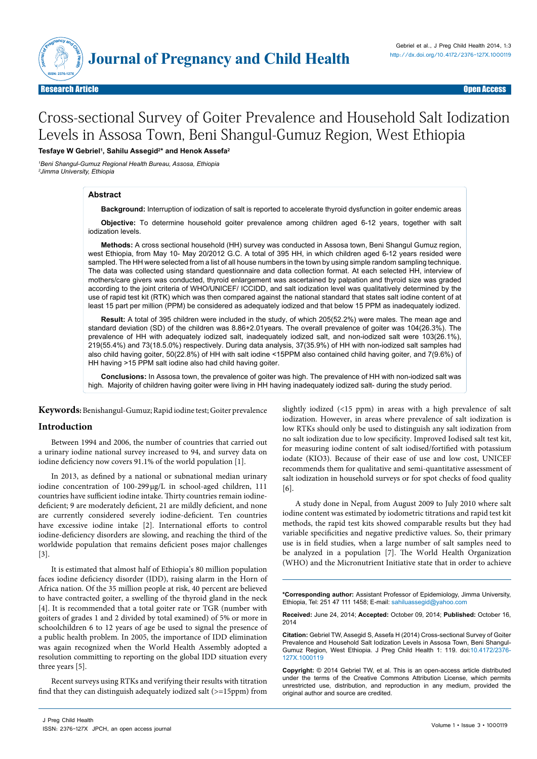

# Cross-sectional Survey of Goiter Prevalence and Household Salt Iodization Levels in Assosa Town, Beni Shangul-Gumuz Region, West Ethiopia

**Tesfaye W Gebriel1 , Sahilu Assegid2 \* and Henok Assefa2**

*1 Beni Shangul-Gumuz Regional Health Bureau, Assosa, Ethiopia 2 Jimma University, Ethiopia*

#### **Abstract**

**Background:** Interruption of iodization of salt is reported to accelerate thyroid dysfunction in goiter endemic areas

**Objective:** To determine household goiter prevalence among children aged 6-12 years, together with salt iodization levels.

**Methods:** A cross sectional household (HH) survey was conducted in Assosa town, Beni Shangul Gumuz region, west Ethiopia, from May 10- May 20/2012 G.C. A total of 395 HH, in which children aged 6-12 years resided were sampled. The HH were selected from a list of all house numbers in the town by using simple random sampling technique. The data was collected using standard questionnaire and data collection format. At each selected HH, interview of mothers/care givers was conducted, thyroid enlargement was ascertained by palpation and thyroid size was graded according to the joint criteria of WHO/UNICEF/ ICCIDD, and salt iodization level was qualitatively determined by the use of rapid test kit (RTK) which was then compared against the national standard that states salt iodine content of at least 15 part per million (PPM) be considered as adequately iodized and that below 15 PPM as inadequately iodized.

**Result:** A total of 395 children were included in the study, of which 205(52.2%) were males. The mean age and standard deviation (SD) of the children was 8.86+2.01years. The overall prevalence of goiter was 104(26.3%). The prevalence of HH with adequately iodized salt, inadequately iodized salt, and non-iodized salt were 103(26.1%), 219(55.4%) and 73(18.5.0%) respectively. During data analysis, 37(35.9%) of HH with non-iodized salt samples had also child having goiter, 50(22.8%) of HH with salt iodine <15PPM also contained child having goiter, and 7(9.6%) of HH having >15 PPM salt iodine also had child having goiter.

**Conclusions:** In Assosa town, the prevalence of goiter was high. The prevalence of HH with non-iodized salt was high. Majority of children having goiter were living in HH having inadequately iodized salt- during the study period.

**Keywords:** Benishangul-Gumuz; Rapid iodine test; Goiter prevalence

#### **Introduction**

Between 1994 and 2006, the number of countries that carried out a urinary iodine national survey increased to 94, and survey data on iodine deficiency now covers 91.1% of the world population [1].

In 2013, as defined by a national or subnational median urinary iodine concentration of 100-299μg/L in school-aged children, 111 countries have sufficient iodine intake. Thirty countries remain iodinedeficient; 9 are moderately deficient, 21 are mildly deficient, and none are currently considered severely iodine-deficient. Ten countries have excessive iodine intake [2]. International efforts to control iodine-deficiency disorders are slowing, and reaching the third of the worldwide population that remains deficient poses major challenges [3].

It is estimated that almost half of Ethiopia's 80 million population faces iodine deficiency disorder (IDD), raising alarm in the Horn of Africa nation. Of the 35 million people at risk, 40 percent are believed to have contracted goiter, a swelling of the thyroid gland in the neck [4]. It is recommended that a total goiter rate or TGR (number with goiters of grades 1 and 2 divided by total examined) of 5% or more in schoolchildren 6 to 12 years of age be used to signal the presence of a public health problem. In 2005, the importance of IDD elimination was again recognized when the World Health Assembly adopted a resolution committing to reporting on the global IDD situation every three years [5].

Recent surveys using RTKs and verifying their results with titration find that they can distinguish adequately iodized salt (>=15ppm) from

slightly iodized (<15 ppm) in areas with a high prevalence of salt iodization. However, in areas where prevalence of salt iodization is low RTKs should only be used to distinguish any salt iodization from no salt iodization due to low specificity. Improved Iodised salt test kit, for measuring iodine content of salt iodised/fortified with potassium iodate (KIO3). Because of their ease of use and low cost, UNICEF recommends them for qualitative and semi-quantitative assessment of salt iodization in household surveys or for spot checks of food quality [6].

A study done in Nepal, from August 2009 to July 2010 where salt iodine content was estimated by iodometric titrations and rapid test kit methods, the rapid test kits showed comparable results but they had variable specificities and negative predictive values. So, their primary use is in field studies, when a large number of salt samples need to be analyzed in a population [7]. The World Health Organization (WHO) and the Micronutrient Initiative state that in order to achieve

**\*Corresponding author:** Assistant Professor of Epidemiology, Jimma University, Ethiopia, Tel: 251 47 111 1458; E-mail: sahiluassegid@yahoo.com

**Received:** June 24, 2014; **Accepted:** October 09, 2014; **Published:** October 16, 2014

**Citation:** Gebriel TW, Assegid S, Assefa H (2014) Cross-sectional Survey of Goiter Prevalence and Household Salt Iodization Levels in Assosa Town, Beni Shangul-Gumuz Region, West Ethiopia. J Preg Child Health 1: 119. doi:[10.4172/2376-](http://dx.doi.org/10.4172/2376-127X.1000119) [127X.1000119](http://dx.doi.org/10.4172/2376-127X.1000119)

**Copyright:** © 2014 Gebriel TW, et al. This is an open-access article distributed under the terms of the Creative Commons Attribution License, which permits unrestricted use, distribution, and reproduction in any medium, provided the original author and source are credited.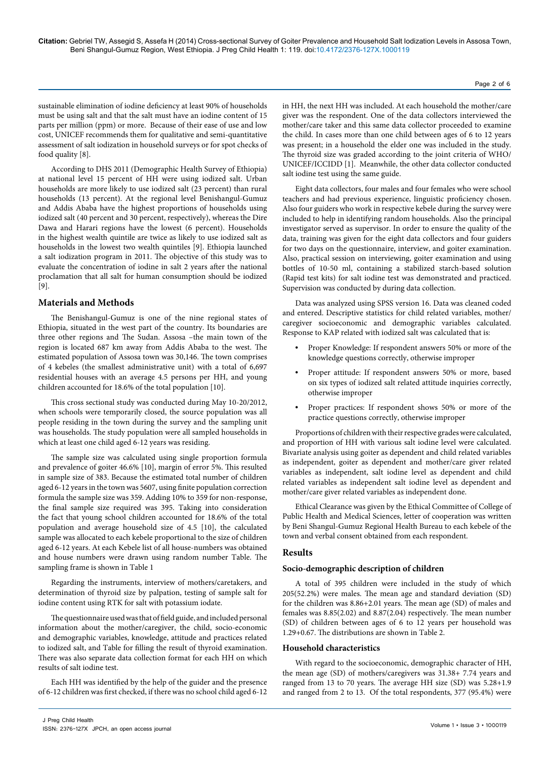Page 2 of 6

sustainable elimination of iodine deficiency at least 90% of households must be using salt and that the salt must have an iodine content of 15 parts per million (ppm) or more. Because of their ease of use and low cost, UNICEF recommends them for qualitative and semi-quantitative assessment of salt iodization in household surveys or for spot checks of food quality [8].

According to DHS 2011 (Demographic Health Survey of Ethiopia) at national level 15 percent of HH were using iodized salt. Urban households are more likely to use iodized salt (23 percent) than rural households (13 percent). At the regional level Benishangul-Gumuz and Addis Ababa have the highest proportions of households using iodized salt (40 percent and 30 percent, respectively), whereas the Dire Dawa and Harari regions have the lowest (6 percent). Households in the highest wealth quintile are twice as likely to use iodized salt as households in the lowest two wealth quintiles [9]. Ethiopia launched a salt iodization program in 2011. The objective of this study was to evaluate the concentration of iodine in salt 2 years after the national proclamation that all salt for human consumption should be iodized [9].

# **Materials and Methods**

The Benishangul-Gumuz is one of the nine regional states of Ethiopia, situated in the west part of the country. Its boundaries are three other regions and The Sudan. Assosa –the main town of the region is located 687 km away from Addis Ababa to the west. The estimated population of Assosa town was 30,146. The town comprises of 4 kebeles (the smallest administrative unit) with a total of 6,697 residential houses with an average 4.5 persons per HH, and young children accounted for 18.6% of the total population [10].

This cross sectional study was conducted during May 10-20/2012, when schools were temporarily closed, the source population was all people residing in the town during the survey and the sampling unit was households. The study population were all sampled households in which at least one child aged 6-12 years was residing.

The sample size was calculated using single proportion formula and prevalence of goiter 46.6% [10], margin of error 5%. This resulted in sample size of 383. Because the estimated total number of children aged 6-12 years in the town was 5607, using finite population correction formula the sample size was 359. Adding 10% to 359 for non-response, the final sample size required was 395. Taking into consideration the fact that young school children accounted for 18.6% of the total population and average household size of 4.5 [10], the calculated sample was allocated to each kebele proportional to the size of children aged 6-12 years. At each Kebele list of all house-numbers was obtained and house numbers were drawn using random number Table. The sampling frame is shown in Table 1

Regarding the instruments, interview of mothers/caretakers, and determination of thyroid size by palpation, testing of sample salt for iodine content using RTK for salt with potassium iodate.

The questionnaire used was that of field guide, and included personal information about the mother/caregiver, the child, socio-economic and demographic variables, knowledge, attitude and practices related to iodized salt, and Table for filling the result of thyroid examination. There was also separate data collection format for each HH on which results of salt iodine test.

Each HH was identified by the help of the guider and the presence of 6-12 children was first checked, if there was no school child aged 6-12

in HH, the next HH was included. At each household the mother/care giver was the respondent. One of the data collectors interviewed the mother/care taker and this same data collector proceeded to examine the child. In cases more than one child between ages of 6 to 12 years was present; in a household the elder one was included in the study. The thyroid size was graded according to the joint criteria of WHO/ UNICEF/ICCIDD [1]. Meanwhile, the other data collector conducted salt iodine test using the same guide.

Eight data collectors, four males and four females who were school teachers and had previous experience, linguistic proficiency chosen. Also four guiders who work in respective kebele during the survey were included to help in identifying random households. Also the principal investigator served as supervisor. In order to ensure the quality of the data, training was given for the eight data collectors and four guiders for two days on the questionnaire, interview, and goiter examination. Also, practical session on interviewing, goiter examination and using bottles of 10-50 ml, containing a stabilized starch-based solution (Rapid test kits) for salt iodine test was demonstrated and practiced. Supervision was conducted by during data collection.

Data was analyzed using SPSS version 16. Data was cleaned coded and entered. Descriptive statistics for child related variables, mother/ caregiver socioeconomic and demographic variables calculated. Response to KAP related with iodized salt was calculated that is:

- **•** Proper Knowledge: If respondent answers 50% or more of the knowledge questions correctly, otherwise improper
- **•** Proper attitude: If respondent answers 50% or more, based on six types of iodized salt related attitude inquiries correctly, otherwise improper
- **•** Proper practices: If respondent shows 50% or more of the practice questions correctly, otherwise improper

Proportions of children with their respective grades were calculated, and proportion of HH with various salt iodine level were calculated. Bivariate analysis using goiter as dependent and child related variables as independent, goiter as dependent and mother/care giver related variables as independent, salt iodine level as dependent and child related variables as independent salt iodine level as dependent and mother/care giver related variables as independent done.

Ethical Clearance was given by the Ethical Committee of College of Public Health and Medical Sciences, letter of cooperation was written by Beni Shangul-Gumuz Regional Health Bureau to each kebele of the town and verbal consent obtained from each respondent.

# **Results**

## **Socio-demographic description of children**

A total of 395 children were included in the study of which 205(52.2%) were males. The mean age and standard deviation (SD) for the children was 8.86+2.01 years. The mean age (SD) of males and females was 8.85(2.02) and 8.87(2.04) respectively. The mean number (SD) of children between ages of 6 to 12 years per household was 1.29+0.67. The distributions are shown in Table 2.

## **Household characteristics**

With regard to the socioeconomic, demographic character of HH, the mean age (SD) of mothers/caregivers was 31.38+ 7.74 years and ranged from 13 to 70 years. The average HH size (SD) was 5.28+1.9 and ranged from 2 to 13. Of the total respondents, 377 (95.4%) were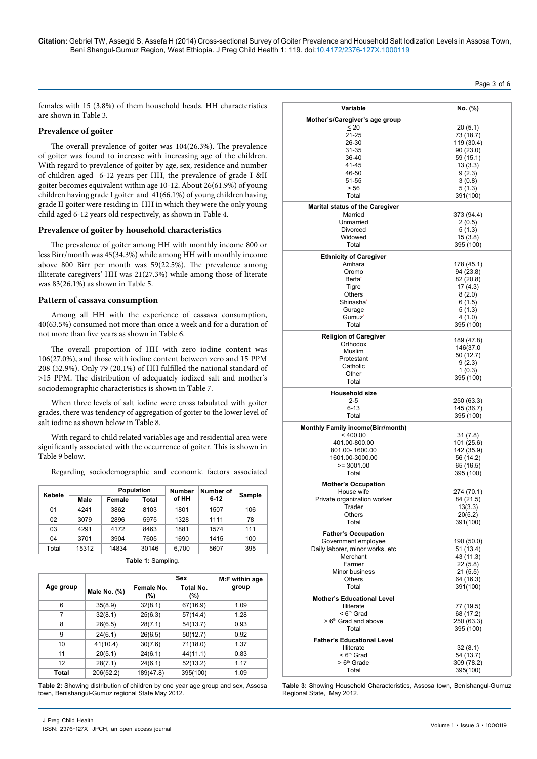**Citation:** Gebriel TW, Assegid S, Assefa H (2014) Cross-sectional Survey of Goiter Prevalence and Household Salt Iodization Levels in Assosa Town, Beni Shangul-Gumuz Region, West Ethiopia. J Preg Child Health 1: 119. doi:[10.4172/2376-127X.1000119](http://dx.doi.org/10.4172/2376-127X.1000119)

# Page 3 of 6

females with 15 (3.8%) of them household heads. HH characteristics are shown in Table 3.

### **Prevalence of goiter**

The overall prevalence of goiter was 104(26.3%). The prevalence of goiter was found to increase with increasing age of the children. With regard to prevalence of goiter by age, sex, residence and number of children aged 6-12 years per HH, the prevalence of grade I &II goiter becomes equivalent within age 10-12. About 26(61.9%) of young children having grade I goiter and 41(66.1%) of young children having grade II goiter were residing in HH in which they were the only young child aged 6-12 years old respectively, as shown in Table 4.

#### **Prevalence of goiter by household characteristics**

The prevalence of goiter among HH with monthly income 800 or less Birr/month was 45(34.3%) while among HH with monthly income above 800 Birr per month was 59(22.5%). The prevalence among illiterate caregivers' HH was 21(27.3%) while among those of literate was 83(26.1%) as shown in Table 5.

#### **Pattern of cassava consumption**

Among all HH with the experience of cassava consumption, 40(63.5%) consumed not more than once a week and for a duration of not more than five years as shown in Table 6.

The overall proportion of HH with zero iodine content was 106(27.0%), and those with iodine content between zero and 15 PPM 208 (52.9%). Only 79 (20.1%) of HH fulfilled the national standard of >15 PPM. The distribution of adequately iodized salt and mother's sociodemographic characteristics is shown in Table 7.

When three levels of salt iodine were cross tabulated with goiter grades, there was tendency of aggregation of goiter to the lower level of salt iodine as shown below in Table 8.

With regard to child related variables age and residential area were significantly associated with the occurrence of goiter. This is shown in Table 9 below.

Regarding sociodemographic and economic factors associated

| Kebele | Population |        | <b>Number</b> | Number of |          |        |  |
|--------|------------|--------|---------------|-----------|----------|--------|--|
|        | Male       | Female | Total         | of HH     | $6 - 12$ | Sample |  |
| 01     | 4241       | 3862   | 8103          | 1801      | 1507     | 106    |  |
| 02     | 3079       | 2896   | 5975          | 1328      | 1111     | 78     |  |
| 03     | 4291       | 4172   | 8463          | 1881      | 1574     | 111    |  |
| 04     | 3701       | 3904   | 7605          | 1690      | 1415     | 100    |  |
| Total  | 15312      | 14834  | 30146         | 6,700     | 5607     | 395    |  |

|  | Table 1: Sampling. |  |
|--|--------------------|--|
|  |                    |  |

|           |              | Sex<br>M:F within age |                      |       |  |  |
|-----------|--------------|-----------------------|----------------------|-------|--|--|
| Age group | Male No. (%) | Female No.<br>$(\% )$ | Total No.<br>$(\% )$ | group |  |  |
| 6         | 35(8.9)      | 32(8.1)               | 67(16.9)             | 1.09  |  |  |
| 7         | 32(8.1)      | 25(6.3)               | 57(14.4)             | 1.28  |  |  |
| 8         | 26(6.5)      | 28(7.1)               | 54(13.7)             | 0.93  |  |  |
| 9         | 24(6.1)      | 26(6.5)               | 50(12.7)             | 0.92  |  |  |
| 10        | 41(10.4)     | 30(7.6)               | 71(18.0)             | 1.37  |  |  |
| 11        | 20(5.1)      | 24(6.1)               | 44(11.1)             | 0.83  |  |  |
| 12        | 28(7.1)      | 24(6.1)               | 52(13.2)             | 1.17  |  |  |
| Total     | 206(52.2)    | 189(47.8)             | 395(100)             | 1.09  |  |  |

**Table 2:** Showing distribution of children by one year age group and sex, Assosa town, Benishangul-Gumuz regional State May 2012.

| J Preg Child Health |                                              |
|---------------------|----------------------------------------------|
|                     | ISSN: 2376-127X JPCH, an open access journal |

| Variable                                               | No. (%)                 |
|--------------------------------------------------------|-------------------------|
| Mother's/Caregiver's age group                         |                         |
| < 20                                                   | 20(5.1)                 |
| 21-25                                                  | 73 (18.7)               |
| 26-30                                                  | 119 (30.4)              |
| 31-35                                                  | 90 (23.0)               |
| 36-40                                                  | 59 (15.1)               |
| 41-45                                                  | 13(3.3)                 |
| 46-50                                                  | 9(2.3)                  |
| 51-55                                                  | 3(0.8)                  |
| $\geq 56$                                              | 5(1.3)                  |
| Total                                                  | 391(100)                |
| <b>Marital status of the Caregiver</b>                 |                         |
| Married                                                | 373 (94.4)              |
| Unmarried<br>Divorced                                  | 2(0.5)<br>5(1.3)        |
| Widowed                                                | 15(3.8)                 |
| Total                                                  | 395 (100)               |
|                                                        |                         |
| <b>Ethnicity of Caregiver</b><br>Amhara                | 178 (45.1)              |
| Oromo                                                  | 94 (23.8)               |
| Berta <sup>-</sup>                                     | 82 (20.8)               |
| Tigre                                                  | 17(4.3)                 |
| Others                                                 | 8(2.0)                  |
| Shinasha <sup>*</sup>                                  | 6(1.5)                  |
| Gurage                                                 | 5(1.3)                  |
| Gumuz'                                                 | 4(1.0)                  |
| Total                                                  | 395 (100)               |
| <b>Religion of Caregiver</b>                           | 189 (47.8)              |
| Orthodox                                               | 146(37.0                |
| Muslim                                                 | 50 (12.7)               |
| Protestant                                             | 9(2.3)                  |
| Catholic                                               | 1(0.3)                  |
| Other<br>Total                                         | 395 (100)               |
|                                                        |                         |
|                                                        |                         |
| <b>Household size</b>                                  |                         |
| $2 - 5$                                                | 250 (63.3)              |
| $6 - 13$                                               | 145 (36.7)              |
| Total                                                  | 395 (100)               |
| <b>Monthly Family income(Birr/month)</b>               |                         |
| $\leq 400.00$                                          | 31(7.8)                 |
| 401.00-800.00<br>801.00-1600.00                        | 101 (25.6)              |
| 1601.00-3000.00                                        | 142 (35.9)<br>56 (14.2) |
| $>= 3001.00$                                           | 65 (16.5)               |
| Total                                                  | 395 (100)               |
| <b>Mother's Occupation</b>                             |                         |
| House wife                                             | 274 (70.1)              |
| Private organization worker                            | 84 (21.5)               |
| Trader                                                 | 13(3.3)                 |
| Others                                                 | 20(5.2)                 |
| Total                                                  | 391(100)                |
| <b>Father's Occupation</b>                             |                         |
| Government employee                                    | 190 (50.0)              |
| Daily laborer, minor works, etc                        | 51(13.4)                |
| Merchant                                               | 43 (11.3)               |
| Farmer                                                 | 22(5.8)                 |
| Minor business<br>Others                               | 21(5.5)                 |
| Total                                                  | 64 (16.3)<br>391(100)   |
|                                                        |                         |
| <b>Mother's Educational Level</b><br><b>Illiterate</b> | 77 (19.5)               |
| < 6 <sup>th</sup> Grad                                 | 68 (17.2)               |
| > 6 <sup>th</sup> Grad and above                       | 250 (63.3)              |
| Total                                                  | 395 (100)               |
| <b>Father's Educational Level</b>                      |                         |
| Illiterate                                             | 32(8.1)                 |
| < 6 <sup>th</sup> Grad                                 | 54 (13.7)               |
| $> 6th$ Grade<br>Total                                 | 309 (78.2)<br>395(100)  |

**Table 3:** Showing Household Characteristics, Assosa town, Benishangul-Gumuz Regional State, May 2012.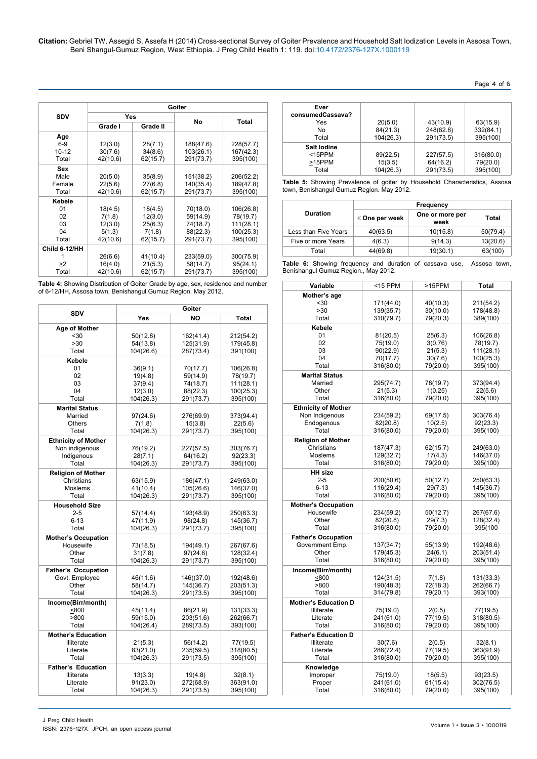**Citation:** Gebriel TW, Assegid S, Assefa H (2014) Cross-sectional Survey of Goiter Prevalence and Household Salt Iodization Levels in Assosa Town, Beni Shangul-Gumuz Region, West Ethiopia. J Preg Child Health 1: 119. doi:[10.4172/2376-127X.1000119](http://dx.doi.org/10.4172/2376-127X.1000119)

| Page 4 of 6 |  |
|-------------|--|
|-------------|--|

|               |          | Goiter   |           |           |  |
|---------------|----------|----------|-----------|-----------|--|
| <b>SDV</b>    | Yes      |          | No        |           |  |
|               | Grade I  | Grade II |           | Total     |  |
| Age           |          |          |           |           |  |
| $6-9$         | 12(3.0)  | 28(7.1)  | 188(47.6) | 228(57.7) |  |
| $10 - 12$     | 30(7.6)  | 34(8.6)  | 103(26.1) | 167(42.3) |  |
| Total         | 42(10.6) | 62(15.7) | 291(73.7) | 395(100)  |  |
| Sex           |          |          |           |           |  |
| Male          | 20(5.0)  | 35(8.9)  | 151(38.2) | 206(52.2) |  |
| Female        | 22(5.6)  | 27(6.8)  | 140(35.4) | 189(47.8) |  |
| Total         | 42(10.6) | 62(15.7) | 291(73.7) | 395(100)  |  |
| Kebele        |          |          |           |           |  |
| 01            | 18(4.5)  | 18(4.5)  | 70(18.0)  | 106(26.8) |  |
| 02            | 7(1.8)   | 12(3.0)  | 59(14.9)  | 78(19.7)  |  |
| 03            | 12(3.0)  | 25(6.3)  | 74(18.7)  | 111(28.1) |  |
| 04            | 5(1.3)   | 7(1.8)   | 88(22.3)  | 100(25.3) |  |
| Total         | 42(10.6) | 62(15.7) | 291(73.7) | 395(100)  |  |
| Child 6-12/HH |          |          |           |           |  |
|               | 26(6.6)  | 41(10.4) | 233(59.0) | 300(75.9) |  |
| >2            | 16(4.0)  | 21(5.3)  | 58(14.7)  | 95(24.1)  |  |
| Total         | 42(10.6) | 62(15.7) | 291(73.7) | 395(100)  |  |

**Table 4:** Showing Distribution of Goiter Grade by age, sex, residence and number of 6-12/HH, Assosa town, Benishangul Gumuz Region. May 2012.

| <b>SDV</b>                              | Goiter                |                        |                        |  |
|-----------------------------------------|-----------------------|------------------------|------------------------|--|
|                                         | Yes                   | <b>NO</b>              | <b>Total</b>           |  |
| Age of Mother                           |                       |                        |                        |  |
| $30$                                    | 50(12.8)              | 162(41.4)              | 212(54.2)              |  |
| >30<br>Total                            | 54(13.8)              | 125(31.9)              | 179(45.8)              |  |
|                                         | 104(26.6)             | 287(73.4)              | 391(100)               |  |
| Kebele<br>01                            | 36(9.1)               | 70(17.7)               | 106(26.8)              |  |
| 02                                      | 19(4.8)               | 59(14.9)               | 78(19.7)               |  |
| 03                                      | 37(9.4)               | 74(18.7)               | 111(28.1)              |  |
| 04                                      | 12(3.0)               | 88(22.3)               | 100(25.3)              |  |
| Total                                   | 104(26.3)             | 291(73.7)              | 395(100)               |  |
| <b>Marital Status</b>                   |                       |                        |                        |  |
| Married                                 | 97(24.6)              | 276(69.9)              | 373(94.4)              |  |
| Others                                  | 7(1.8)                | 15(3.8)                | 22(5.6)                |  |
| Total                                   | 104(26.3)             | 291(73.7)              | 395(100)               |  |
| <b>Ethnicity of Mother</b>              |                       |                        |                        |  |
| Non indigenous                          | 76(19.2)              | 227(57.5)              | 303(76.7)              |  |
| Indigenous                              | 28(7.1)               | 64(16.2)               | 92(23.3)               |  |
| Total                                   | 104(26.3)             | 291(73.7)              | 395(100)               |  |
| <b>Religion of Mother</b><br>Christians |                       |                        |                        |  |
| Moslems                                 | 63(15.9)<br>41(10.4)  | 186(47.1)<br>105(26.6) | 249(63.0)<br>146(37.0) |  |
| Total                                   | 104(26.3)             | 291(73.7)              | 395(100)               |  |
| <b>Household Size</b>                   |                       |                        |                        |  |
| $2 - 5$                                 | 57(14.4)              | 193(48.9)              | 250(63.3)              |  |
| $6 - 13$                                | 47(11.9)              | 98(24.8)               | 145(36.7)              |  |
| Total                                   | 104(26.3)             | 291(73.7)              | 395(100)               |  |
| <b>Mother's Occupation</b>              |                       |                        |                        |  |
| Housewife                               | 73(18.5)              | 194(49.1)              | 267(67.6)              |  |
| Other                                   | 31(7.8)               | 97(24.6)               | 128(32.4)              |  |
| Total                                   | 104(26.3)             | 291(73.7)              | 395(100)               |  |
| <b>Father's Occupation</b>              |                       |                        |                        |  |
| Govt. Employee                          | 46(11.6)              | 146((37.0)             | 192(48.6)              |  |
| Other                                   | 58(14.7)              | 145(36.7)              | 203(51.3)              |  |
| Total                                   | 104(26.3)             | 291(73.5)              | 395(100)               |  |
| Income(Birr/month)                      |                       |                        |                        |  |
| < 800                                   | 45(11.4)              | 86(21.9)               | 131(33.3)              |  |
| >800<br>Total                           | 59(15.0)<br>104(26.4) | 203(51.6)              | 262(66.7)              |  |
|                                         |                       | 289(73.5)              | 393(100)               |  |
| <b>Mother's Education</b>               |                       |                        |                        |  |
| Illiterate<br>Literate                  | 21(5.3)<br>83(21.0)   | 56(14.2)<br>235(59.5)  | 77(19.5)<br>318(80.5)  |  |
| Total                                   | 104(26.3)             | 291(73.5)              | 395(100)               |  |
| <b>Father's Education</b>               |                       |                        |                        |  |
| <b>Illiterate</b>                       | 13(3.3)               | 19(4.8)                | 32(8.1)                |  |
| Literate                                | 91(23.0)              | 272(68.9)              | 363(91.0)              |  |
| Total                                   | 104(26.3)             | 291(73.5)              | 395(100)               |  |
|                                         |                       |                        |                        |  |

| Ever<br>consumedCassava?<br>Yes<br>No<br>Total | 20(5.0)<br>84(21.3)<br>104(26.3) | 43(10.9)<br>248(62.8)<br>291(73.5) | 63(15.9)<br>332(84.1)<br>395(100) |
|------------------------------------------------|----------------------------------|------------------------------------|-----------------------------------|
| Salt lodine<br>$15PPM$<br>>15PPM<br>Total      | 89(22.5)<br>15(3.5)<br>104(26.3) | 227(57.5)<br>64(16.2)<br>291(73.5) | 316(80.0)<br>79(20.0)<br>395(100) |

**Table 5:** Showing Prevalence of goiter by Household Characteristics, Assosa town, Benishangul Gumuz Region. May 2012.

|                      |                     | Frequency               |          |  |  |
|----------------------|---------------------|-------------------------|----------|--|--|
| <b>Duration</b>      | $\leq$ One per week | One or more per<br>week | Total    |  |  |
| Less than Five Years | 40(63.5)            | 10(15.8)                | 50(79.4) |  |  |
| Five or more Years   | 4(6.3)              | 9(14.3)                 | 13(20.6) |  |  |
| Total                | 44(69.8)            | 19(30.1)                | 63(100)  |  |  |

**Table 6:** Showing frequency and duration of cassava use, Assosa town, Benishangul Gumuz Region., May 2012.

| Variable                    | $<$ 15 PPM             | >15PPM               | <b>Total</b>           |
|-----------------------------|------------------------|----------------------|------------------------|
| Mother's age                |                        |                      |                        |
| $30$<br>>30                 | 171(44.0)<br>139(35.7) | 40(10.3)<br>30(10.0) | 211(54.2)<br>178(48.8) |
| Total                       | 310(79.7)              | 79(20.3)             | 389(100)               |
| Kebele                      |                        |                      |                        |
| 01                          | 81(20.5)               | 25(6.3)              | 106(26.8)              |
| 02                          | 75(19.0)               | 3(0.76)              | 78(19.7)               |
| 03                          | 90(22.9)               | 21(5.3)              | 111(28.1)              |
| 04<br>Total                 | 70(17.7)<br>316(80.0)  | 30(7.6)<br>79(20.0)  | 100(25.3)<br>395(100)  |
| <b>Marital Status</b>       |                        |                      |                        |
| Married                     | 295(74.7)              | 78(19.7)             | 373(94.4)              |
| Other                       | 21(5.3)                | 1(0.25)              | 22(5.6)                |
| Total                       | 316(80.0)              | 79(20.0)             | 395(100)               |
| <b>Ethnicity of Mother</b>  |                        |                      |                        |
| Non Indigenous              | 234(59.2)<br>82(20.8)  | 69(17.5)             | 303(76.4)<br>92(23.3)  |
| Endogenous<br>Total         | 316(80.0)              | 10(2.5)<br>79(20.0)  | 395(100)               |
| <b>Religion of Mother</b>   |                        |                      |                        |
| Christians                  | 187(47.3)              | 62(15.7)             | 249(63.0)              |
| <b>Moslems</b>              | 129(32.7)              | 17(4.3)              | 146(37.0)              |
| Total                       | 316(80.0)              | 79(20.0)             | 395(100)               |
| <b>HH</b> size              |                        |                      |                        |
| $2 - 5$                     | 200(50.6)              | 50(12.7)             | 250(63.3)              |
| $6 - 13$<br>Total           | 116(29.4)<br>316(80.0) | 29(7.3)<br>79(20.0)  | 145(36.7)<br>395(100)  |
| <b>Mother's Occupation</b>  |                        |                      |                        |
| Housewife                   | 234(59.2)              | 50(12.7)             | 267(67.6)              |
| Other                       | 82(20.8)               | 29(7.3)              | 128(32.4)              |
| Total                       | 316(80.0)              | 79(20.0)             | 395(100                |
| <b>Father's Occupation</b>  |                        |                      |                        |
| Government Emp.             | 137(34.7)              | 55(13.9)             | 192(48.6)              |
| Other<br>Total              | 179(45.3)<br>316(80.0) | 24(6.1)<br>79(20.0)  | 203(51.4)<br>395(100)  |
| Income(Birr/month)          |                        |                      |                        |
| ≤800                        | 124(31.5)              | 7(1.8)               | 131(33.3)              |
| >800                        | 190(48.3)              | 72(18.3)             | 262(66.7)              |
| Total                       | 314(79.8)              | 79(20.1)             | 393(100)               |
| <b>Mother's Education D</b> |                        |                      |                        |
| <b>Illiterate</b>           | 75(19.0)               | 2(0.5)               | 77(19.5)               |
| Literate<br>Total           | 241(61.0)<br>316(80.0) | 77(19.5)<br>79(20.0) | 318(80.5)<br>395(100)  |
| <b>Father's Education D</b> |                        |                      |                        |
| <b>Illiterate</b>           | 30(7.6)                | 2(0.5)               | 32(8.1)                |
| Literate                    | 286(72.4)              | 77(19.5)             | 363(91.9)              |
| Total                       | 316(80.0)              | 79(20.0)             | 395(100)               |
| Knowledge                   |                        |                      |                        |
| Improper                    | 75(19.0)               | 18(5.5)              | 93(23.5)               |
| Proper<br>Total             | 241(61.0)<br>316(80.0) | 61(15.4)             | 302(76.5)              |
|                             |                        | 79(20.0)             | 395(100)               |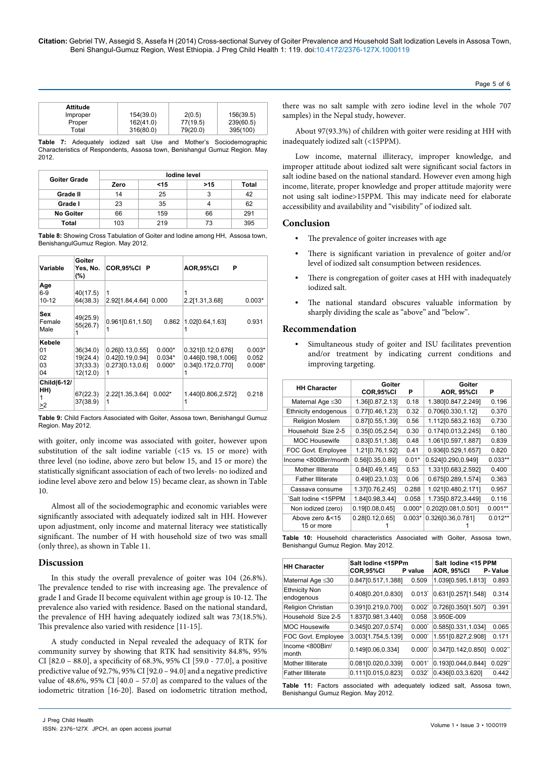| Attitude |           |          |           |
|----------|-----------|----------|-----------|
| Improper | 154(39.0) | 2(0.5)   | 156(39.5) |
| Proper   | 162(41.0) | 77(19.5) | 239(60.5) |
| Total    | 316(80.0) | 79(20.0) | 395(100)  |

**Table 7:** Adequately iodized salt Use and Mother's Sociodemographic Characteristics of Respondents, Assosa town, Benishangul Gumuz Region. May 2012.

| Goiter Grade     | lodine level |        |     |       |  |
|------------------|--------------|--------|-----|-------|--|
|                  | Zero         | $<$ 15 | >15 | Total |  |
| Grade II         | 14           | 25     | 3   | 42    |  |
| Grade I          | 23           | 35     |     | 62    |  |
| <b>No Goiter</b> | 66           | 159    | 66  | 291   |  |
| Total            | 103          | 219    | 73  | 395   |  |

**Table 8:** Showing Cross Tabulation of Goiter and Iodine among HH, Assosa town, BenishangulGumuz Region. May 2012.

| Variable                       | Goiter<br>Yes, No.<br>(%)                    | COR,95%CI<br>P                                                                                   | Р<br><b>AOR,95%CI</b>                                                                              |
|--------------------------------|----------------------------------------------|--------------------------------------------------------------------------------------------------|----------------------------------------------------------------------------------------------------|
| Age<br>$6-9$<br>$10 - 12$      | 40(17.5)<br>64(38.3)                         | 1<br>2.92[1.84,4.64] 0.000                                                                       | 1<br>2.2[1.31,3.68]<br>$0.003*$                                                                    |
| Sex<br>Female<br>Male          | 49(25.9)<br>55(26.7)                         | 0.961[0.61,1.50]<br>0.862<br>1                                                                   | 1.02[0.64,1.63]<br>0.931<br>1                                                                      |
| Kebele<br>01<br>02<br>03<br>04 | 36(34.0)<br>19(24.4)<br>37(33.3)<br>12(12.0) | 0.26[0.13, 0.55]<br>$0.000*$<br>0.42[0.19,0.94]<br>$0.034*$<br>0.273[0.13, 0.6]<br>$0.000*$<br>1 | 0.321[0.12,0.676]<br>$0.003*$<br>0.446[0.198,1.006]<br>0.052<br>0.34[0.172,0.770]<br>$0.008*$<br>1 |
| Child(6-12/<br>HH)<br>>2       | 67(22.3)<br>37(38.9)                         | 2.22[1.35,3.64]<br>$0.002*$<br>1                                                                 | 1.440[0.806,2.572]<br>0.218<br>1                                                                   |

**Table 9:** Child Factors Associated with Goiter, Assosa town, Benishangul Gumuz Region. May 2012.

with goiter, only income was associated with goiter, however upon substitution of the salt iodine variable (<15 vs. 15 or more) with three level (no iodine, above zero but below 15, and 15 or more) the statistically significant association of each of two levels- no iodized and iodine level above zero and below 15) became clear, as shown in Table 10.

Almost all of the sociodemographic and economic variables were significantly associated with adequately iodized salt in HH. However upon adjustment, only income and maternal literacy wee statistically significant. The number of H with household size of two was small (only three), as shown in Table 11.

# **Discussion**

In this study the overall prevalence of goiter was 104 (26.8%). The prevalence tended to rise with increasing age. The prevalence of grade I and Grade II become equivalent within age group is 10-12. The prevalence also varied with residence. Based on the national standard, the prevalence of HH having adequately iodized salt was 73(18.5%). This prevalence also varied with residence [11-15].

A study conducted in Nepal revealed the adequacy of RTK for community survey by showing that RTK had sensitivity 84.8%, 95% CI [82.0 – 88.0], a specificity of 68.3%, 95% CI [59.0 - 77.0], a positive predictive value of 92.7%, 95% CI [92.0 – 94.0] and a negative predictive value of  $48.6\%$ ,  $95\%$  CI  $[40.0 - 57.0]$  as compared to the values of the iodometric titration [16-20]. Based on iodometric titration method,

there was no salt sample with zero iodine level in the whole 707 samples) in the Nepal study, however.

Page 5 of 6

About 97(93.3%) of children with goiter were residing at HH with inadequately iodized salt (<15PPM).

Low income, maternal illiteracy, improper knowledge, and improper attitude about iodized salt were significant social factors in salt iodine based on the national standard. However even among high income, literate, proper knowledge and proper attitude majority were not using salt iodine>15PPM. This may indicate need for elaborate accessibility and availability and "visibility" of iodized salt.

# **Conclusion**

- **•** The prevalence of goiter increases with age
- **•** There is significant variation in prevalence of goiter and/or level of iodized salt consumption between residences.
- **•** There is congregation of goiter cases at HH with inadequately iodized salt.
- The national standard obscures valuable information by sharply dividing the scale as "above" and "below".

# **Recommendation**

**•** Simultaneous study of goiter and ISU facilitates prevention and/or treatment by indicating current conditions and improving targeting.

| <b>HH Character</b>           | Goiter<br>COR,95%CI | Р        | Goiter<br><b>AOR, 95%CI</b> | Р         |
|-------------------------------|---------------------|----------|-----------------------------|-----------|
| Maternal Age ≤30              | 1.36[0.87,2.13]     | 0.18     | 1.380[0.847,2.249]          | 0.196     |
| Ethnicity endogenous          | 0.77[0.46,1.23]     | 0.32     | 0.706[0.330,1.12]           | 0.370     |
| <b>Religion Moslem</b>        | 0.87[0.55,1.39]     | 0.56     | 1.112[0.583,2.163]          | 0.730     |
| Household Size 2-5            | 0.35[0.05,2.54]     | 0.30     | 0.174[0.013,2.245]          | 0.180     |
| <b>MOC Housewife</b>          | 0.83[0.51,1.38]     | 0.48     | 1.061[0.597,1.887]          | 0.839     |
| FOC Govt. Employee            | 1.21[0.76,1.92]     | 0.41     | 0.936[0.529,1.657]          | 0.820     |
| Income <800Birr/month         | 0.56[0.35,0.89]     | $0.01*$  | 0.524[0.290,0.949]          | $0.033**$ |
| Mother Illiterate             | 0.84[0.49,1.45]     | 0.53     | 1.331[0.683,2.592]          | 0.400     |
| <b>Father Illiterate</b>      | 0.49[0.23,1.03]     | 0.06     | 0.675[0.289,1.574]          | 0.363     |
| Cassava consume               | 1.37[0.76,2.45]     | 0.288    | 1.021[0.480,2.171]          | 0.957     |
| 'Salt Iodine <15PPM           | 1.84[0.98,3.44]     | 0.058    | 1.735[0.872,3.449]          | 0.116     |
| Non iodized (zero)            | $0.19$ [0.08,0.45]  | $0.000*$ | 0.202[0.081,0.501]          | $0.001**$ |
| Above zero &<15<br>15 or more | 0.28[0.12, 0.65]    | $0.003*$ | 0.326[0.36,0.781]           | $0.012**$ |

**Table 10:** Household characteristics Associated with Goiter, Assosa town, Benishangul Gumuz Region. May 2012.

| <b>HH Character</b>                | Salt lodine <15PPm<br>COR,95%CI | P value              | Salt lodine <15 PPM<br><b>AOR, 95%CI</b> | P-Value               |
|------------------------------------|---------------------------------|----------------------|------------------------------------------|-----------------------|
| Maternal Age ≤30                   | 0.847[0.517,1.388]              | 0.509                | 1.039[0.595,1.813]                       | 0.893                 |
| <b>Ethnicity Non</b><br>endogenous | 0.408[0.201,0.830]              | $0.013^{*}$          | 0.631[0.257[1.548]                       | 0.314                 |
| Religion Christian                 | 0.391[0.219,0.700]              | $0.002^*$            | 0.726[0.350[1.507]                       | 0.391                 |
| Household Size 2-5                 | 1.837[0.981,3.440]              | 0.058                | 3.950E-009                               |                       |
| <b>MOC Housewife</b>               | 0.345[0.207,0.574]              | $0.000^{\circ}$      | 0.585[0.331,1.034]                       | 0.065                 |
| FOC Govt. Employee                 | 3.003[1.754,5.139]              | $0.000^{\circ}$      | 1.551[0.827,2.908]                       | 0.171                 |
| Income <800Birr/<br>month          | 0.149[0.06,0.334]               | $0.000^{\circ}$      | 0.347[0.142, 0.850]                      | $0.002$ <sup>**</sup> |
| Mother Illiterate                  | 0.081[0.020,0.339]              | $0.001$ <sup>*</sup> | 0.193[0.044, 0.844]                      | 0.029"                |
| <b>Father Illiterate</b>           | 0.111[0.015,0.823]              | $0.032^{*}$          | 0.436[0.03,3.620]                        | 0.442                 |

**Table 11:** Factors associated with adequately iodized salt, Assosa town, Benishangul Gumuz Region. May 2012.